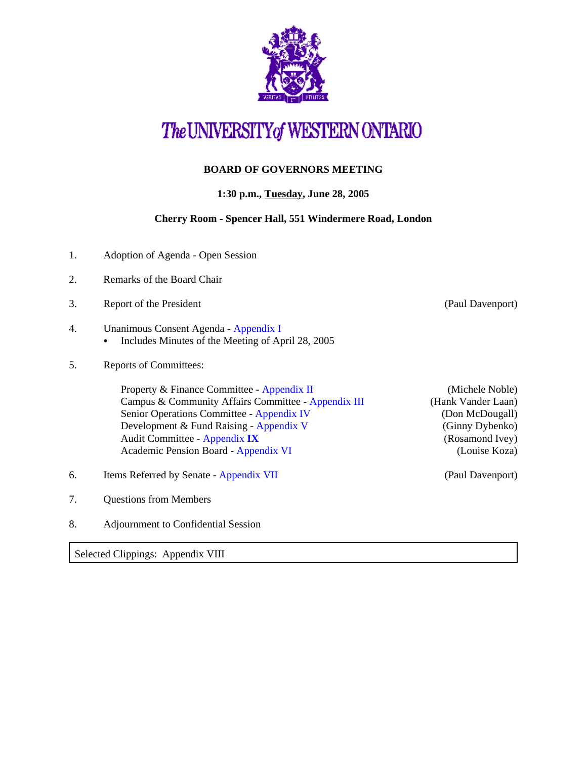

# The UNIVERSITY of WESTERN ONTARIO

## **BOARD OF GOVERNORS MEETING**

## **1:30 p.m., Tuesday, June 28, 2005**

#### **Cherry Room - Spencer Hall, 551 Windermere Road, London**

- 1. Adoption of Agenda Open Session
- 2. Remarks of the Board Chair
- 3. Report of the President (Paul Davenport)
- 4. Unanimous Consent Agenda  [Appendix I](http://www.uwo.ca/univsec/board/minutes/2005/r0506consent.pdf) 
	- Includes Minutes of the Meeting of April 28, 2005
- 5. Reports of Committees:

Property & Finance Committee - [Appendix II](http://www.uwo.ca/univsec/board/minutes/2005/r0506pf.pdf) (Michele Noble) Campus & Community Affairs Committee - [Appendix III](http://www.uwo.ca/univsec/board/minutes/2005/r0506ccac.pdf) (Hank Vander Laan) Senior Operations Committee [- Appendix IV](http://www.uwo.ca/univsec/board/minutes/2005/r0506srops.pdf) (Don McDougall) Development & Fund Raising [- Appendix V](http://www.uwo.ca/univsec/board/minutes/2005/r0506dfr.pdf) (Ginny Dybenko) Audit Committee - [Appendix](http://www.uwo.ca/univsec/board/minutes/2005/r0506aud.pdf) **IX** (Rosamond Ivey) Academic Pension Board - [Appendix VI](http://www.uwo.ca/univsec/board/minutes/2005/r0506pension.pdf) (Louise Koza)

- 6. Items Referred by Senate - [Appendix VII](http://www.uwo.ca/univsec/board/minutes/2005/r0506sen.pdf) (Paul Davenport)
- 7. Questions from Members
- 8. Adjournment to Confidential Session

Selected Clippings: Appendix VIII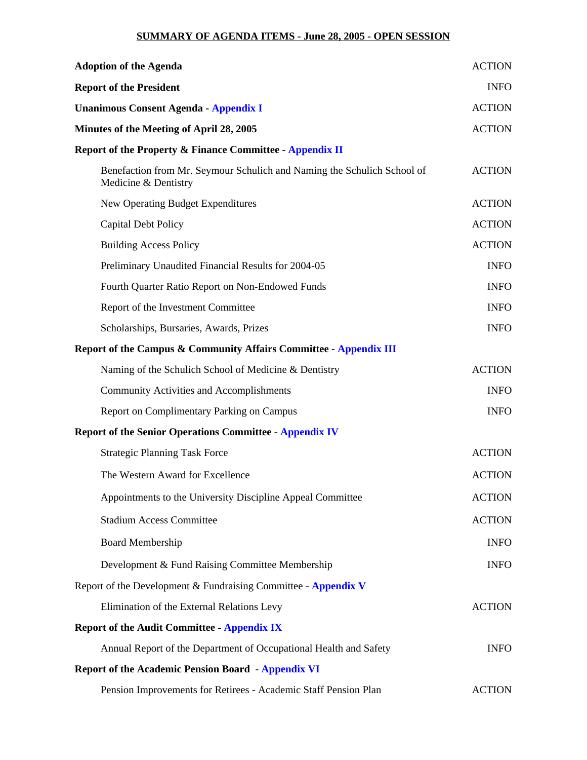#### **SUMMARY OF AGENDA ITEMS - June 28, 2005 - OPEN SESSION**

| <b>Adoption of the Agenda</b>                                                                   | <b>ACTION</b> |
|-------------------------------------------------------------------------------------------------|---------------|
| <b>Report of the President</b>                                                                  | <b>INFO</b>   |
| <b>Unanimous Consent Agenda - Appendix I</b>                                                    | <b>ACTION</b> |
| Minutes of the Meeting of April 28, 2005                                                        | <b>ACTION</b> |
| <b>Report of the Property &amp; Finance Committee - Appendix II</b>                             |               |
| Benefaction from Mr. Seymour Schulich and Naming the Schulich School of<br>Medicine & Dentistry | <b>ACTION</b> |
| New Operating Budget Expenditures                                                               | <b>ACTION</b> |
| <b>Capital Debt Policy</b>                                                                      | <b>ACTION</b> |
| <b>Building Access Policy</b>                                                                   | <b>ACTION</b> |
| Preliminary Unaudited Financial Results for 2004-05                                             | <b>INFO</b>   |
| Fourth Quarter Ratio Report on Non-Endowed Funds                                                | <b>INFO</b>   |
| Report of the Investment Committee                                                              | <b>INFO</b>   |
| Scholarships, Bursaries, Awards, Prizes                                                         | <b>INFO</b>   |
| Report of the Campus & Community Affairs Committee - Appendix III                               |               |
| Naming of the Schulich School of Medicine & Dentistry                                           | <b>ACTION</b> |
| <b>Community Activities and Accomplishments</b>                                                 | <b>INFO</b>   |
| Report on Complimentary Parking on Campus                                                       | <b>INFO</b>   |
| <b>Report of the Senior Operations Committee - Appendix IV</b>                                  |               |
| <b>Strategic Planning Task Force</b>                                                            | <b>ACTION</b> |
| The Western Award for Excellence                                                                | <b>ACTION</b> |
| Appointments to the University Discipline Appeal Committee                                      | <b>ACTION</b> |
| <b>Stadium Access Committee</b>                                                                 | <b>ACTION</b> |
| <b>Board Membership</b>                                                                         | <b>INFO</b>   |
| Development & Fund Raising Committee Membership                                                 | <b>INFO</b>   |
| Report of the Development & Fundraising Committee - Appendix V                                  |               |
| Elimination of the External Relations Levy                                                      | <b>ACTION</b> |
| <b>Report of the Audit Committee - Appendix IX</b>                                              |               |
| Annual Report of the Department of Occupational Health and Safety                               | <b>INFO</b>   |
| <b>Report of the Academic Pension Board - Appendix VI</b>                                       |               |
| Pension Improvements for Retirees - Academic Staff Pension Plan                                 | <b>ACTION</b> |